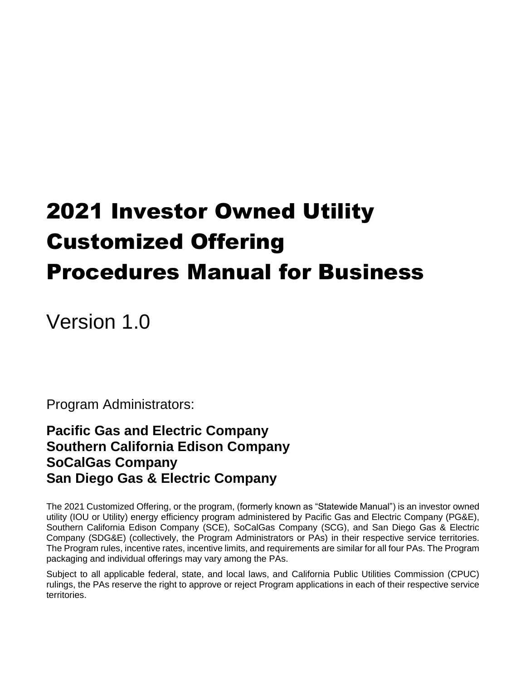# 2021 Investor Owned Utility Customized Offering Procedures Manual for Business

Version 1.0

Program Administrators:

**Pacific Gas and Electric Company Southern California Edison Company SoCalGas Company San Diego Gas & Electric Company**

The 2021 Customized Offering, or the program, (formerly known as "Statewide Manual") is an investor owned utility (IOU or Utility) energy efficiency program administered by Pacific Gas and Electric Company (PG&E), Southern California Edison Company (SCE), SoCalGas Company (SCG), and San Diego Gas & Electric Company (SDG&E) (collectively, the Program Administrators or PAs) in their respective service territories. The Program rules, incentive rates, incentive limits, and requirements are similar for all four PAs. The Program packaging and individual offerings may vary among the PAs.

Subject to all applicable federal, state, and local laws, and California Public Utilities Commission (CPUC) rulings, the PAs reserve the right to approve or reject Program applications in each of their respective service territories.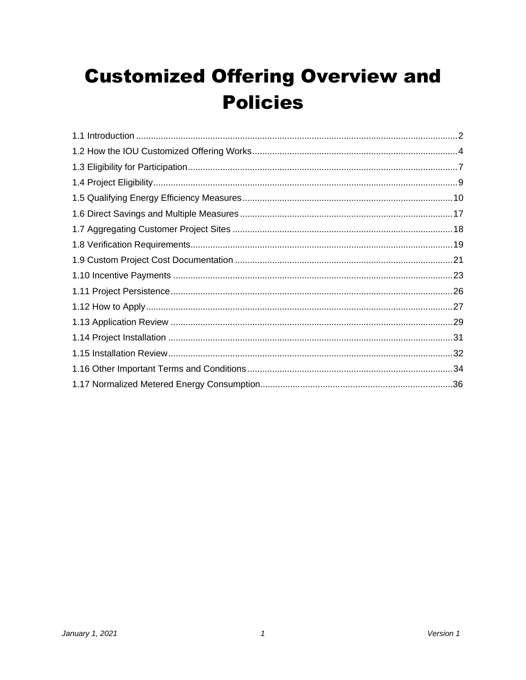# **Customized Offering Overview and Policies**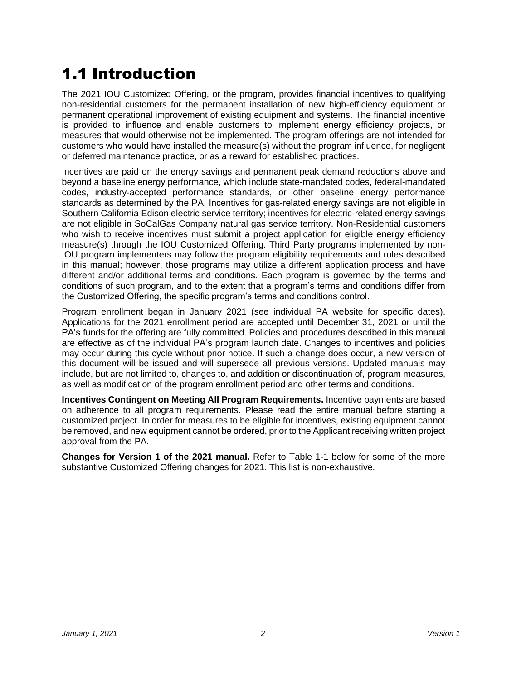# <span id="page-2-0"></span>1.1 Introduction

The 2021 IOU Customized Offering, or the program, provides financial incentives to qualifying non-residential customers for the permanent installation of new high-efficiency equipment or permanent operational improvement of existing equipment and systems. The financial incentive is provided to influence and enable customers to implement energy efficiency projects, or measures that would otherwise not be implemented. The program offerings are not intended for customers who would have installed the measure(s) without the program influence, for negligent or deferred maintenance practice, or as a reward for established practices.

Incentives are paid on the energy savings and permanent peak demand reductions above and beyond a baseline energy performance, which include state-mandated codes, federal-mandated codes, industry-accepted performance standards, or other baseline energy performance standards as determined by the PA. Incentives for gas-related energy savings are not eligible in Southern California Edison electric service territory; incentives for electric-related energy savings are not eligible in SoCalGas Company natural gas service territory. Non-Residential customers who wish to receive incentives must submit a project application for eligible energy efficiency measure(s) through the IOU Customized Offering. Third Party programs implemented by non-IOU program implementers may follow the program eligibility requirements and rules described in this manual; however, those programs may utilize a different application process and have different and/or additional terms and conditions. Each program is governed by the terms and conditions of such program, and to the extent that a program's terms and conditions differ from the Customized Offering, the specific program's terms and conditions control.

Program enrollment began in January 2021 (see individual PA website for specific dates). Applications for the 2021 enrollment period are accepted until December 31, 2021 or until the PA's funds for the offering are fully committed. Policies and procedures described in this manual are effective as of the individual PA's program launch date. Changes to incentives and policies may occur during this cycle without prior notice. If such a change does occur, a new version of this document will be issued and will supersede all previous versions. Updated manuals may include, but are not limited to, changes to, and addition or discontinuation of, program measures, as well as modification of the program enrollment period and other terms and conditions.

**Incentives Contingent on Meeting All Program Requirements.** Incentive payments are based on adherence to all program requirements. Please read the entire manual before starting a customized project. In order for measures to be eligible for incentives, existing equipment cannot be removed, and new equipment cannot be ordered, prior to the Applicant receiving written project approval from the PA.

**Changes for Version 1 of the 2021 manual.** Refer to Table 1-1 below for some of the more substantive Customized Offering changes for 2021. This list is non-exhaustive.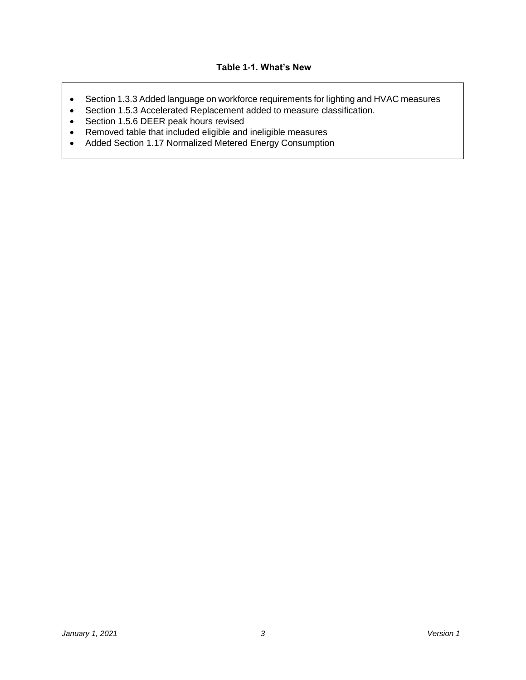#### **Table 1-1. What's New**

- Section 1.3.3 Added language on workforce requirements for lighting and HVAC measures
- Section 1.5.3 Accelerated Replacement added to measure classification.
- Section 1.5.6 DEER peak hours revised
- Removed table that included eligible and ineligible measures
- Added Section 1.17 Normalized Metered Energy Consumption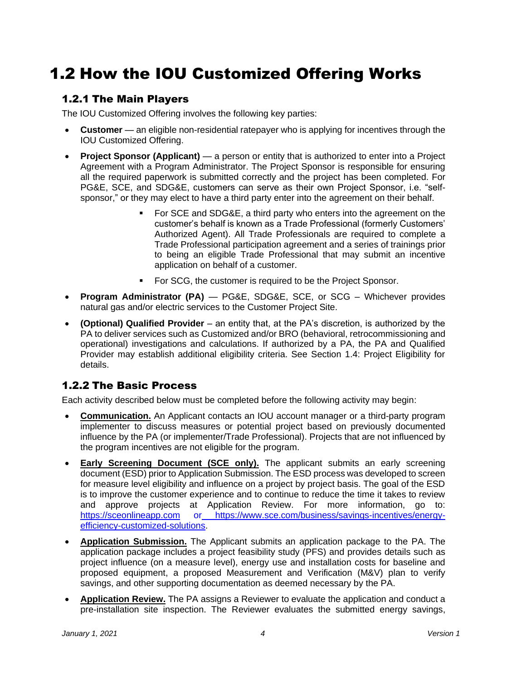# <span id="page-4-0"></span>1.2 How the IOU Customized Offering Works

### 1.2.1 The Main Players

The IOU Customized Offering involves the following key parties:

- **Customer** an eligible non-residential ratepayer who is applying for incentives through the IOU Customized Offering.
- **Project Sponsor (Applicant)**  a person or entity that is authorized to enter into a Project Agreement with a Program Administrator. The Project Sponsor is responsible for ensuring all the required paperwork is submitted correctly and the project has been completed. For PG&E, SCE, and SDG&E, customers can serve as their own Project Sponsor, i.e. "selfsponsor," or they may elect to have a third party enter into the agreement on their behalf.
	- For SCE and SDG&E, a third party who enters into the agreement on the customer's behalf is known as a Trade Professional (formerly Customers' Authorized Agent). All Trade Professionals are required to complete a Trade Professional participation agreement and a series of trainings prior to being an eligible Trade Professional that may submit an incentive application on behalf of a customer.
	- For SCG, the customer is required to be the Project Sponsor.
- **Program Administrator (PA)**  PG&E, SDG&E, SCE, or SCG Whichever provides natural gas and/or electric services to the Customer Project Site.
- **(Optional) Qualified Provider** an entity that, at the PA's discretion, is authorized by the PA to deliver services such as Customized and/or BRO (behavioral, retrocommissioning and operational) investigations and calculations. If authorized by a PA, the PA and Qualified Provider may establish additional eligibility criteria. See Section 1.4: Project Eligibility for details.

### 1.2.2 The Basic Process

Each activity described below must be completed before the following activity may begin:

- **Communication.** An Applicant contacts an IOU account manager or a third-party program implementer to discuss measures or potential project based on previously documented influence by the PA (or implementer/Trade Professional). Projects that are not influenced by the program incentives are not eligible for the program.
- **Early Screening Document (SCE only).** The applicant submits an early screening document (ESD) prior to Application Submission. The ESD process was developed to screen for measure level eligibility and influence on a project by project basis. The goal of the ESD is to improve the customer experience and to continue to reduce the time it takes to review and approve projects at Application Review. For more information, go to: [https://sceonlineapp.com](https://sceonlineapp.com/) or [https://www.sce.com/business/savings-incentives/energy](https://www.sce.com/business/savings-incentives/energy-efficiency-customized-solutions)[efficiency-customized-solutions.](https://www.sce.com/business/savings-incentives/energy-efficiency-customized-solutions)
- **Application Submission.** The Applicant submits an application package to the PA. The application package includes a project feasibility study (PFS) and provides details such as project influence (on a measure level), energy use and installation costs for baseline and proposed equipment, a proposed Measurement and Verification (M&V) plan to verify savings, and other supporting documentation as deemed necessary by the PA.
- **Application Review.** The PA assigns a Reviewer to evaluate the application and conduct a pre-installation site inspection. The Reviewer evaluates the submitted energy savings,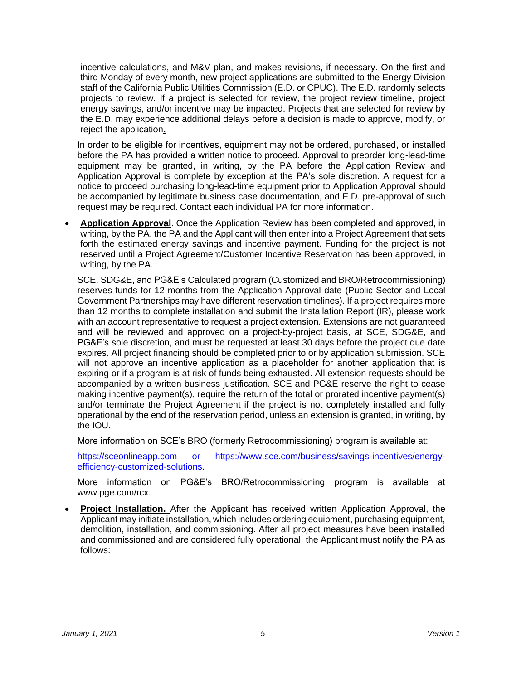incentive calculations, and M&V plan, and makes revisions, if necessary. On the first and third Monday of every month, new project applications are submitted to the Energy Division staff of the California Public Utilities Commission (E.D. or CPUC). The E.D. randomly selects projects to review. If a project is selected for review, the project review timeline, project energy savings, and/or incentive may be impacted. Projects that are selected for review by the E.D. may experience additional delays before a decision is made to approve, modify, or reject the application**.**

In order to be eligible for incentives, equipment may not be ordered, purchased, or installed before the PA has provided a written notice to proceed. Approval to preorder long-lead-time equipment may be granted, in writing, by the PA before the Application Review and Application Approval is complete by exception at the PA's sole discretion. A request for a notice to proceed purchasing long-lead-time equipment prior to Application Approval should be accompanied by legitimate business case documentation, and E.D. pre-approval of such request may be required. Contact each individual PA for more information.

• **Application Approval**. Once the Application Review has been completed and approved, in writing, by the PA, the PA and the Applicant will then enter into a Project Agreement that sets forth the estimated energy savings and incentive payment. Funding for the project is not reserved until a Project Agreement/Customer Incentive Reservation has been approved, in writing, by the PA.

SCE, SDG&E, and PG&E's Calculated program (Customized and BRO/Retrocommissioning) reserves funds for 12 months from the Application Approval date (Public Sector and Local Government Partnerships may have different reservation timelines). If a project requires more than 12 months to complete installation and submit the Installation Report (IR), please work with an account representative to request a project extension. Extensions are not guaranteed and will be reviewed and approved on a project-by-project basis, at SCE, SDG&E, and PG&E's sole discretion, and must be requested at least 30 days before the project due date expires. All project financing should be completed prior to or by application submission. SCE will not approve an incentive application as a placeholder for another application that is expiring or if a program is at risk of funds being exhausted. All extension requests should be accompanied by a written business justification. SCE and PG&E reserve the right to cease making incentive payment(s), require the return of the total or prorated incentive payment(s) and/or terminate the Project Agreement if the project is not completely installed and fully operational by the end of the reservation period, unless an extension is granted, in writing, by the IOU.

More information on SCE's BRO (formerly Retrocommissioning) program is available at:

[https://sceonlineapp.com](https://sceonlineapp.com/) or [https://www.sce.com/business/savings-incentives/energy](https://www.sce.com/business/savings-incentives/energy-efficiency-customized-solutions)[efficiency-customized-solutions.](https://www.sce.com/business/savings-incentives/energy-efficiency-customized-solutions)

More information on PG&E's BRO/Retrocommissioning program is available at www.pge.com/rcx.

• **Project Installation.** After the Applicant has received written Application Approval, the Applicant may initiate installation, which includes ordering equipment, purchasing equipment, demolition, installation, and commissioning. After all project measures have been installed and commissioned and are considered fully operational, the Applicant must notify the PA as follows: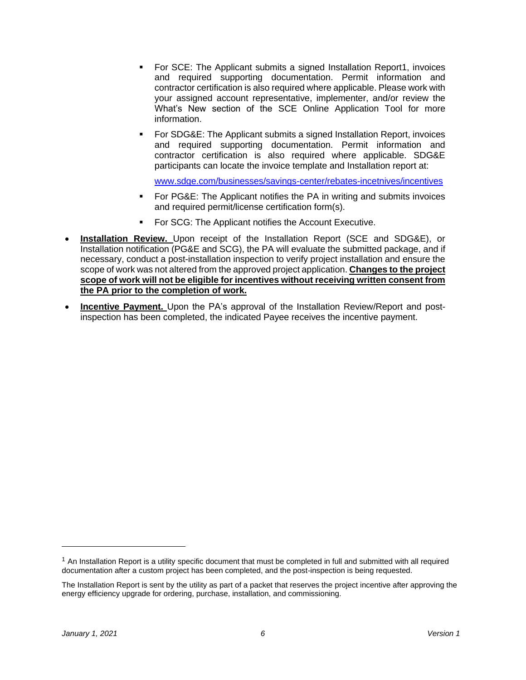- For SCE: The Applicant submits a signed Installation Report1, invoices and required supporting documentation. Permit information and contractor certification is also required where applicable. Please work with your assigned account representative, implementer, and/or review the What's New section of the [SCE Online Application Tool](https://www.sceonlineapp.com/) for more information.
- For SDG&E: The Applicant submits a signed Installation Report, invoices and required supporting documentation. Permit information and contractor certification is also required where applicable. SDG&E participants can locate the invoice template and Installation report at:

[www.sdge.com/businesses/savings-center/rebates-incetnives/incentives](http://www.sdge.com/businesses/savings-center/rebates-incetnives/incentives)

- For PG&E: The Applicant notifies the PA in writing and submits invoices and required permit/license certification form(s).
- For SCG: The Applicant notifies the Account Executive.
- **Installation Review.** Upon receipt of the Installation Report (SCE and SDG&E), or Installation notification (PG&E and SCG), the PA will evaluate the submitted package, and if necessary, conduct a post-installation inspection to verify project installation and ensure the scope of work was not altered from the approved project application. **Changes to the project scope of work will not be eligible for incentives without receiving written consent from the PA prior to the completion of work.**
- **Incentive Payment.** Upon the PA's approval of the Installation Review/Report and postinspection has been completed, the indicated Payee receives the incentive payment.

 $1$  An Installation Report is a utility specific document that must be completed in full and submitted with all required documentation after a custom project has been completed, and the post-inspection is being requested.

The Installation Report is sent by the utility as part of a packet that reserves the project incentive after approving the energy efficiency upgrade for ordering, purchase, installation, and commissioning.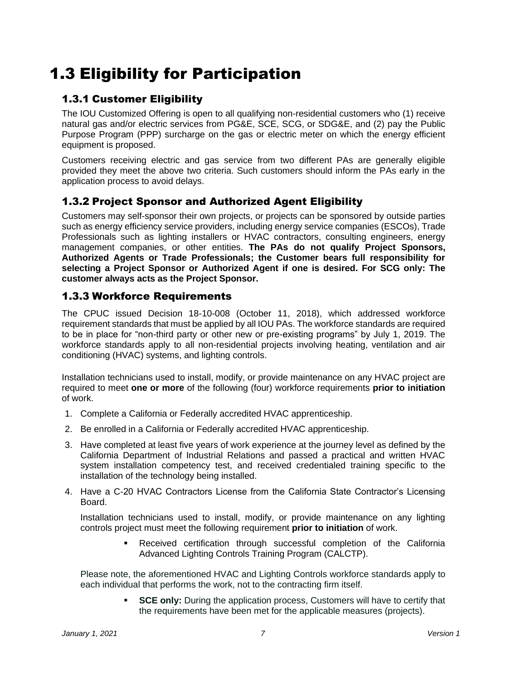# <span id="page-7-0"></span>1.3 Eligibility for Participation

# 1.3.1 Customer Eligibility

The IOU Customized Offering is open to all qualifying non-residential customers who (1) receive natural gas and/or electric services from PG&E, SCE, SCG, or SDG&E, and (2) pay the Public Purpose Program (PPP) surcharge on the gas or electric meter on which the energy efficient equipment is proposed.

Customers receiving electric and gas service from two different PAs are generally eligible provided they meet the above two criteria. Such customers should inform the PAs early in the application process to avoid delays.

# 1.3.2 Project Sponsor and Authorized Agent Eligibility

Customers may self-sponsor their own projects, or projects can be sponsored by outside parties such as energy efficiency service providers, including energy service companies (ESCOs), Trade Professionals such as lighting installers or HVAC contractors, consulting engineers, energy management companies, or other entities. **The PAs do not qualify Project Sponsors, Authorized Agents or Trade Professionals; the Customer bears full responsibility for selecting a Project Sponsor or Authorized Agent if one is desired. For SCG only: The customer always acts as the Project Sponsor.**

### 1.3.3 Workforce Requirements

The CPUC issued Decision 18-10-008 (October 11, 2018), which addressed workforce requirement standards that must be applied by all IOU PAs. The workforce standards are required to be in place for "non-third party or other new or pre-existing programs" by July 1, 2019. The workforce standards apply to all non-residential projects involving heating, ventilation and air conditioning (HVAC) systems, and lighting controls.

Installation technicians used to install, modify, or provide maintenance on any HVAC project are required to meet **one or more** of the following (four) workforce requirements **prior to initiation** of work.

- 1. Complete a California or Federally accredited HVAC apprenticeship.
- 2. Be enrolled in a California or Federally accredited HVAC apprenticeship.
- 3. Have completed at least five years of work experience at the journey level as defined by the California Department of Industrial Relations and passed a practical and written HVAC system installation competency test, and received credentialed training specific to the installation of the technology being installed.
- 4. Have a C-20 HVAC Contractors License from the California State Contractor's Licensing Board.

Installation technicians used to install, modify, or provide maintenance on any lighting controls project must meet the following requirement **prior to initiation** of work.

> ▪ Received certification through successful completion of the California Advanced Lighting Controls Training Program (CALCTP).

Please note, the aforementioned HVAC and Lighting Controls workforce standards apply to each individual that performs the work, not to the contracting firm itself.

> **EXE ONCE ONLY:** During the application process, Customers will have to certify that the requirements have been met for the applicable measures (projects).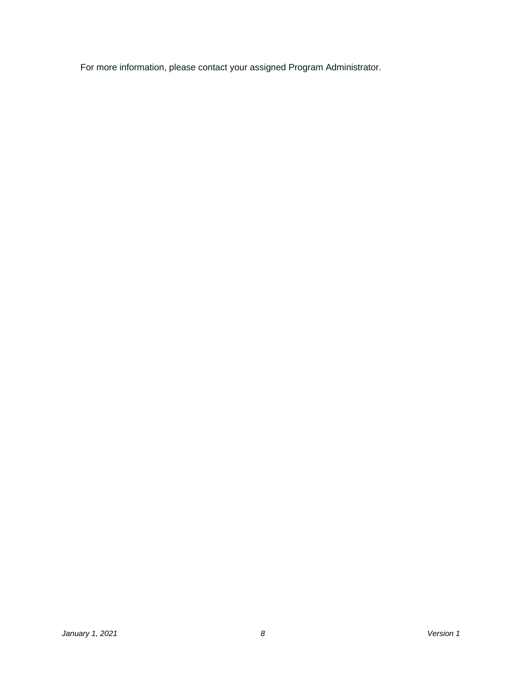For more information, please contact your assigned Program Administrator.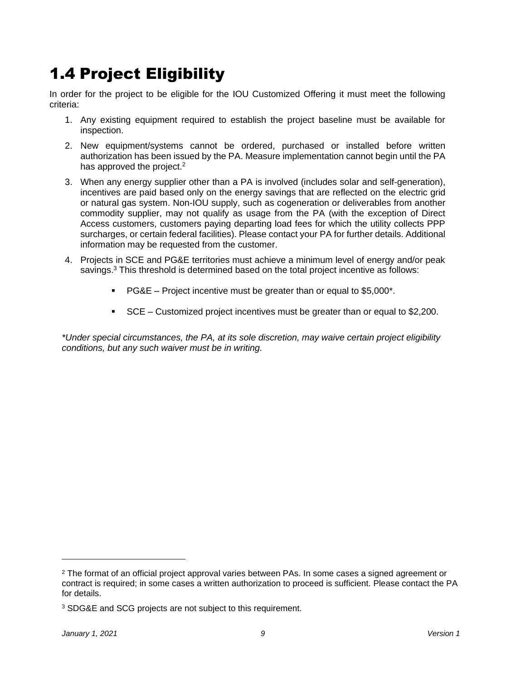# <span id="page-9-0"></span>1.4 Project Eligibility

In order for the project to be eligible for the IOU Customized Offering it must meet the following criteria:

- 1. Any existing equipment required to establish the project baseline must be available for inspection.
- 2. New equipment/systems cannot be ordered, purchased or installed before written authorization has been issued by the PA. Measure implementation cannot begin until the PA has approved the project.<sup>2</sup>
- 3. When any energy supplier other than a PA is involved (includes solar and self-generation), incentives are paid based only on the energy savings that are reflected on the electric grid or natural gas system. Non-IOU supply, such as cogeneration or deliverables from another commodity supplier, may not qualify as usage from the PA (with the exception of Direct Access customers, customers paying departing load fees for which the utility collects PPP surcharges, or certain federal facilities). Please contact your PA for further details. Additional information may be requested from the customer.
- 4. Projects in SCE and PG&E territories must achieve a minimum level of energy and/or peak savings. $3$  This threshold is determined based on the total project incentive as follows:
	- $\blacksquare$  PG&E Project incentive must be greater than or equal to \$5,000<sup>\*</sup>.
	- SCE Customized project incentives must be greater than or equal to \$2,200.

*\*Under special circumstances, the PA, at its sole discretion, may waive certain project eligibility conditions, but any such waiver must be in writing.*

<sup>&</sup>lt;sup>2</sup> The format of an official project approval varies between PAs. In some cases a signed agreement or contract is required; in some cases a written authorization to proceed is sufficient. Please contact the PA for details.

<sup>3</sup> SDG&E and SCG projects are not subject to this requirement.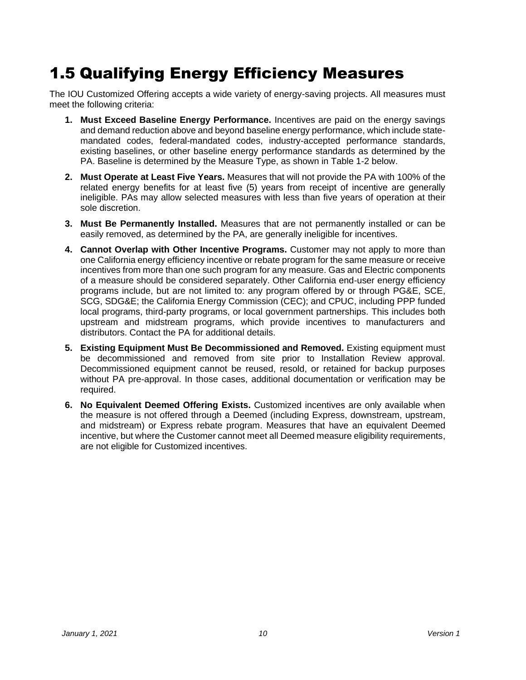# <span id="page-10-0"></span>1.5 Qualifying Energy Efficiency Measures

The IOU Customized Offering accepts a wide variety of energy-saving projects. All measures must meet the following criteria:

- **1. Must Exceed Baseline Energy Performance.** Incentives are paid on the energy savings and demand reduction above and beyond baseline energy performance, which include statemandated codes, federal-mandated codes, industry-accepted performance standards, existing baselines, or other baseline energy performance standards as determined by the PA. Baseline is determined by the Measure Type, as shown in Table 1-2 below.
- **2. Must Operate at Least Five Years.** Measures that will not provide the PA with 100% of the related energy benefits for at least five (5) years from receipt of incentive are generally ineligible. PAs may allow selected measures with less than five years of operation at their sole discretion.
- **3. Must Be Permanently Installed.** Measures that are not permanently installed or can be easily removed, as determined by the PA, are generally ineligible for incentives.
- **4. Cannot Overlap with Other Incentive Programs.** Customer may not apply to more than one California energy efficiency incentive or rebate program for the same measure or receive incentives from more than one such program for any measure. Gas and Electric components of a measure should be considered separately. Other California end-user energy efficiency programs include, but are not limited to: any program offered by or through PG&E, SCE, SCG, SDG&E; the California Energy Commission (CEC); and CPUC, including PPP funded local programs, third-party programs, or local government partnerships. This includes both upstream and midstream programs, which provide incentives to manufacturers and distributors. Contact the PA for additional details.
- **5. Existing Equipment Must Be Decommissioned and Removed.** Existing equipment must be decommissioned and removed from site prior to Installation Review approval. Decommissioned equipment cannot be reused, resold, or retained for backup purposes without PA pre-approval. In those cases, additional documentation or verification may be required.
- **6. No Equivalent Deemed Offering Exists.** Customized incentives are only available when the measure is not offered through a Deemed (including Express, downstream, upstream, and midstream) or Express rebate program. Measures that have an equivalent Deemed incentive, but where the Customer cannot meet all Deemed measure eligibility requirements, are not eligible for Customized incentives.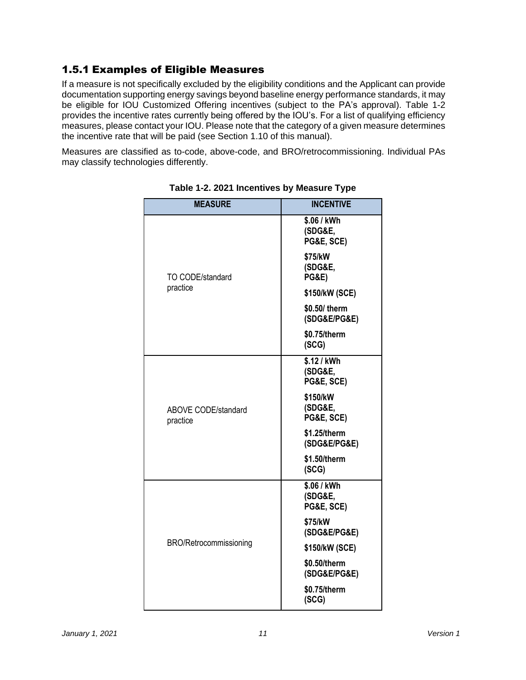# 1.5.1 Examples of Eligible Measures

If a measure is not specifically excluded by the eligibility conditions and the Applicant can provide documentation supporting energy savings beyond baseline energy performance standards, it may be eligible for IOU Customized Offering incentives (subject to the PA's approval). Table 1-2 provides the incentive rates currently being offered by the IOU's. For a list of qualifying efficiency measures, please contact your IOU. Please note that the category of a given measure determines the incentive rate that will be paid (see Section 1.10 of this manual).

Measures are classified as to-code, above-code, and BRO/retrocommissioning. Individual PAs may classify technologies differently.

| <b>MEASURE</b>                         | <b>INCENTIVE</b>                       |
|----------------------------------------|----------------------------------------|
|                                        | \$.06 / kWh<br>(SDG&E,                 |
|                                        | PG&E, SCE)                             |
| TO CODE/standard                       | \$75/kW<br>(SDG&E,<br><b>PG&amp;E)</b> |
| practice                               | \$150/kW (SCE)                         |
|                                        | \$0.50/ therm<br>(SDG&E/PG&E)          |
|                                        | \$0.75/therm<br>(SCG)                  |
|                                        | \$.12 / kWh<br>(SDG&E,<br>PG&E, SCE)   |
| <b>ABOVE CODE/standard</b><br>practice | \$150/kW<br>(SDG&E,<br>PG&E, SCE)      |
|                                        | \$1.25/therm<br>(SDG&E/PG&E)           |
|                                        | \$1.50/therm<br>(SCG)                  |
|                                        | \$.06 / kWh<br>(SDG&E,<br>PG&E, SCE)   |
| BRO/Retrocommissioning                 | \$75/kW<br>(SDG&E/PG&E)                |
|                                        | \$150/kW (SCE)                         |
|                                        | \$0.50/therm<br>(SDG&E/PG&E)           |
|                                        | \$0.75/therm<br>(SCG)                  |

**Table 1-2. 2021 Incentives by Measure Type**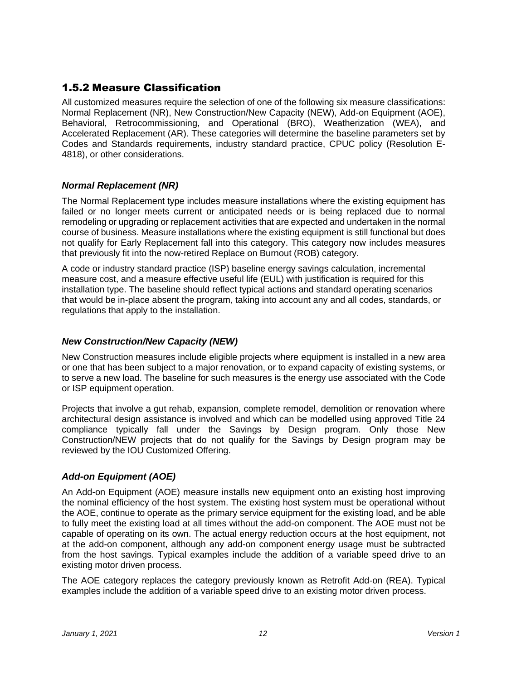# 1.5.2 Measure Classification

All customized measures require the selection of one of the following six measure classifications: Normal Replacement (NR), New Construction/New Capacity (NEW), Add-on Equipment (AOE), Behavioral, Retrocommissioning, and Operational (BRO), Weatherization (WEA), and Accelerated Replacement (AR). These categories will determine the baseline parameters set by Codes and Standards requirements, industry standard practice, CPUC policy (Resolution E-4818), or other considerations.

#### *Normal Replacement (NR)*

The Normal Replacement type includes measure installations where the existing equipment has failed or no longer meets current or anticipated needs or is being replaced due to normal remodeling or upgrading or replacement activities that are expected and undertaken in the normal course of business. Measure installations where the existing equipment is still functional but does not qualify for Early Replacement fall into this category. This category now includes measures that previously fit into the now-retired Replace on Burnout (ROB) category.

A code or industry standard practice (ISP) baseline energy savings calculation, incremental measure cost, and a measure effective useful life (EUL) with justification is required for this installation type. The baseline should reflect typical actions and standard operating scenarios that would be in-place absent the program, taking into account any and all codes, standards, or regulations that apply to the installation.

#### *New Construction/New Capacity (NEW)*

New Construction measures include eligible projects where equipment is installed in a new area or one that has been subject to a major renovation, or to expand capacity of existing systems, or to serve a new load. The baseline for such measures is the energy use associated with the Code or ISP equipment operation.

Projects that involve a gut rehab, expansion, complete remodel, demolition or renovation where architectural design assistance is involved and which can be modelled using approved Title 24 compliance typically fall under the Savings by Design program. Only those New Construction/NEW projects that do not qualify for the Savings by Design program may be reviewed by the IOU Customized Offering.

### *Add-on Equipment (AOE)*

An Add-on Equipment (AOE) measure installs new equipment onto an existing host improving the nominal efficiency of the host system. The existing host system must be operational without the AOE, continue to operate as the primary service equipment for the existing load, and be able to fully meet the existing load at all times without the add-on component. The AOE must not be capable of operating on its own. The actual energy reduction occurs at the host equipment, not at the add-on component, although any add-on component energy usage must be subtracted from the host savings. Typical examples include the addition of a variable speed drive to an existing motor driven process.

The AOE category replaces the category previously known as Retrofit Add-on (REA). Typical examples include the addition of a variable speed drive to an existing motor driven process.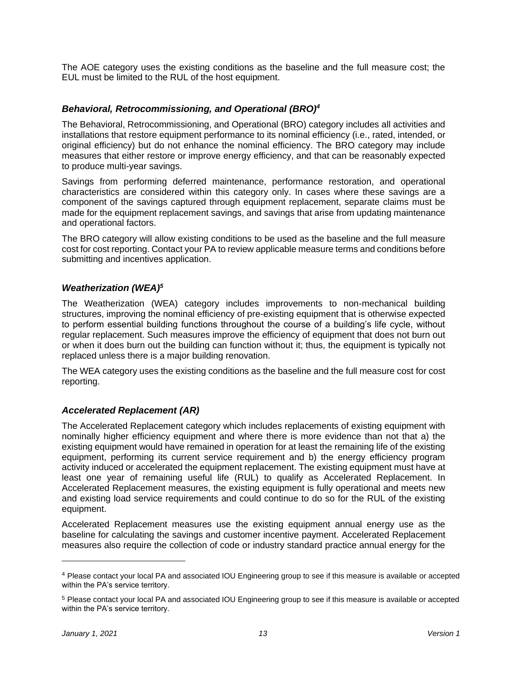The AOE category uses the existing conditions as the baseline and the full measure cost; the EUL must be limited to the RUL of the host equipment.

#### *Behavioral, Retrocommissioning, and Operational (BRO)<sup>4</sup>*

The Behavioral, Retrocommissioning, and Operational (BRO) category includes all activities and installations that restore equipment performance to its nominal efficiency (i.e., rated, intended, or original efficiency) but do not enhance the nominal efficiency. The BRO category may include measures that either restore or improve energy efficiency, and that can be reasonably expected to produce multi-year savings.

Savings from performing deferred maintenance, performance restoration, and operational characteristics are considered within this category only. In cases where these savings are a component of the savings captured through equipment replacement, separate claims must be made for the equipment replacement savings, and savings that arise from updating maintenance and operational factors.

The BRO category will allow existing conditions to be used as the baseline and the full measure cost for cost reporting. Contact your PA to review applicable measure terms and conditions before submitting and incentives application.

#### *Weatherization (WEA)<sup>5</sup>*

The Weatherization (WEA) category includes improvements to non-mechanical building structures, improving the nominal efficiency of pre-existing equipment that is otherwise expected to perform essential building functions throughout the course of a building's life cycle, without regular replacement. Such measures improve the efficiency of equipment that does not burn out or when it does burn out the building can function without it; thus, the equipment is typically not replaced unless there is a major building renovation.

The WEA category uses the existing conditions as the baseline and the full measure cost for cost reporting.

#### *Accelerated Replacement (AR)*

The Accelerated Replacement category which includes replacements of existing equipment with nominally higher efficiency equipment and where there is more evidence than not that a) the existing equipment would have remained in operation for at least the remaining life of the existing equipment, performing its current service requirement and b) the energy efficiency program activity induced or accelerated the equipment replacement. The existing equipment must have at least one year of remaining useful life (RUL) to qualify as Accelerated Replacement. In Accelerated Replacement measures, the existing equipment is fully operational and meets new and existing load service requirements and could continue to do so for the RUL of the existing equipment.

Accelerated Replacement measures use the existing equipment annual energy use as the baseline for calculating the savings and customer incentive payment. Accelerated Replacement measures also require the collection of code or industry standard practice annual energy for the

<sup>4</sup> Please contact your local PA and associated IOU Engineering group to see if this measure is available or accepted within the PA's service territory.

<sup>5</sup> Please contact your local PA and associated IOU Engineering group to see if this measure is available or accepted within the PA's service territory.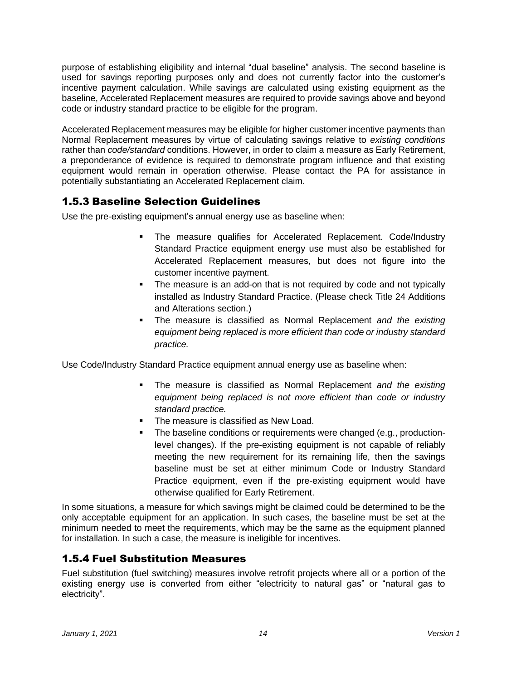purpose of establishing eligibility and internal "dual baseline" analysis. The second baseline is used for savings reporting purposes only and does not currently factor into the customer's incentive payment calculation. While savings are calculated using existing equipment as the baseline, Accelerated Replacement measures are required to provide savings above and beyond code or industry standard practice to be eligible for the program.

Accelerated Replacement measures may be eligible for higher customer incentive payments than Normal Replacement measures by virtue of calculating savings relative to *existing conditions* rather than *code/standard* conditions. However, in order to claim a measure as Early Retirement, a preponderance of evidence is required to demonstrate program influence and that existing equipment would remain in operation otherwise. Please contact the PA for assistance in potentially substantiating an Accelerated Replacement claim.

# 1.5.3 Baseline Selection Guidelines

Use the pre-existing equipment's annual energy use as baseline when:

- The measure qualifies for Accelerated Replacement. Code/Industry Standard Practice equipment energy use must also be established for Accelerated Replacement measures, but does not figure into the customer incentive payment.
- The measure is an add-on that is not required by code and not typically installed as Industry Standard Practice. (Please check Title 24 Additions and Alterations section.)
- The measure is classified as Normal Replacement *and the existing equipment being replaced is more efficient than code or industry standard practice.*

Use Code/Industry Standard Practice equipment annual energy use as baseline when:

- The measure is classified as Normal Replacement *and the existing equipment being replaced is not more efficient than code or industry standard practice.*
- The measure is classified as New Load.
- The baseline conditions or requirements were changed (e.g., productionlevel changes). If the pre-existing equipment is not capable of reliably meeting the new requirement for its remaining life, then the savings baseline must be set at either minimum Code or Industry Standard Practice equipment, even if the pre-existing equipment would have otherwise qualified for Early Retirement.

In some situations, a measure for which savings might be claimed could be determined to be the only acceptable equipment for an application. In such cases, the baseline must be set at the minimum needed to meet the requirements, which may be the same as the equipment planned for installation. In such a case, the measure is ineligible for incentives.

# 1.5.4 Fuel Substitution Measures

Fuel substitution (fuel switching) measures involve retrofit projects where all or a portion of the existing energy use is converted from either "electricity to natural gas" or "natural gas to electricity".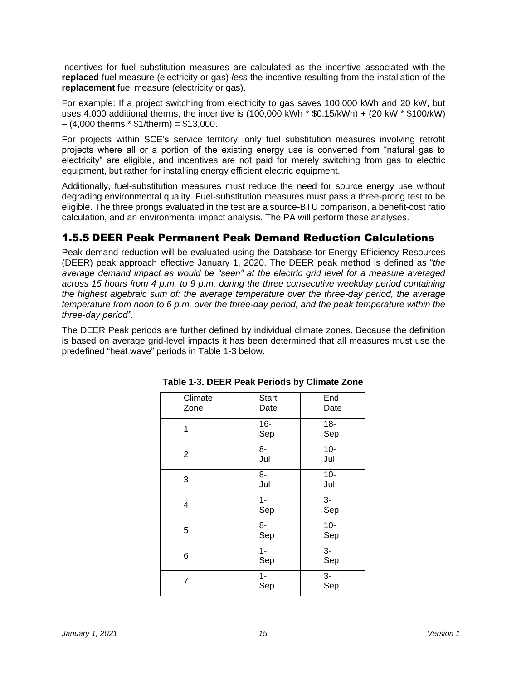Incentives for fuel substitution measures are calculated as the incentive associated with the **replaced** fuel measure (electricity or gas) *less* the incentive resulting from the installation of the **replacement** fuel measure (electricity or gas).

For example: If a project switching from electricity to gas saves 100,000 kWh and 20 kW, but uses 4,000 additional therms, the incentive is (100,000 kWh \* \$0.15/kWh) + (20 kW \* \$100/kW)  $-$  (4,000 therms  $*$  \$1/therm) = \$13,000.

For projects within SCE's service territory, only fuel substitution measures involving retrofit projects where all or a portion of the existing energy use is converted from "natural gas to electricity" are eligible, and incentives are not paid for merely switching from gas to electric equipment, but rather for installing energy efficient electric equipment.

Additionally, fuel-substitution measures must reduce the need for source energy use without degrading environmental quality. Fuel-substitution measures must pass a three-prong test to be eligible. The three prongs evaluated in the test are a source-BTU comparison, a benefit-cost ratio calculation, and an environmental impact analysis. The PA will perform these analyses.

### 1.5.5 DEER Peak Permanent Peak Demand Reduction Calculations

Peak demand reduction will be evaluated using the Database for Energy Efficiency Resources (DEER) peak approach effective January 1, 2020. The DEER peak method is defined as "*the average demand impact as would be "seen" at the electric grid level for a measure averaged across 15 hours from 4 p.m. to 9 p.m. during the three consecutive weekday period containing the highest algebraic sum of: the average temperature over the three-day period, the average temperature from noon to 6 p.m. over the three-day period, and the peak temperature within the three-day period".* 

The DEER Peak periods are further defined by individual climate zones. Because the definition is based on average grid-level impacts it has been determined that all measures must use the predefined "heat wave" periods in Table 1-3 below.

| Climate<br>Zone | <b>Start</b><br>Date  | End<br>Date   |
|-----------------|-----------------------|---------------|
| 1               | $16-$<br>Sep          | $18 -$<br>Sep |
| $\overline{2}$  | 8-<br>Jul             | $10-$<br>Jul  |
| 3               | 8-<br>Jul             | $10-$<br>Jul  |
| 4               | $1 -$<br>Sep          | $3-$<br>Sep   |
| 5               | 8-<br>Sep             | $10-$<br>Sep  |
| 6               | $\overline{1}$<br>Sep | $3-$<br>Sep   |
| 7               | $1 -$<br>Sep          | $3-$<br>Sep   |

**Table 1-3. DEER Peak Periods by Climate Zone**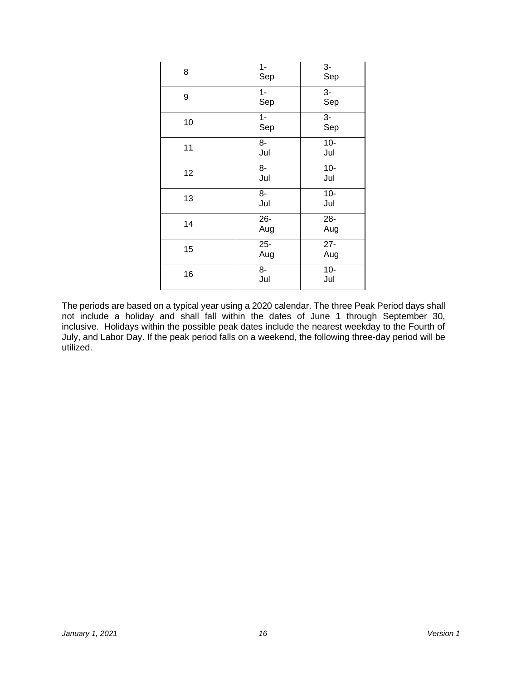| 8  | $1 -$<br>Sep          | 3-<br>Sep               |
|----|-----------------------|-------------------------|
| 9  | $1 -$<br>Sep          | $3-$<br>Sep             |
| 10 | $\overline{1}$<br>Sep | $\overline{3}$ -<br>Sep |
| 11 | 8-<br>Jul             | $10-$<br>Jul            |
| 12 | 8-<br>Jul             | $10-$<br>Jul            |
| 13 | 8-<br>Jul             | $10-$<br>Jul            |
| 14 | $26 -$<br>Aug         | $28 -$<br>Aug           |
| 15 | $25 -$<br>Aug         | $27 -$<br>Aug           |
| 16 | 8-<br>Jul             | $10-$<br>Jul            |

The periods are based on a typical year using a 2020 calendar. The three Peak Period days shall not include a holiday and shall fall within the dates of June 1 through September 30, inclusive. Holidays within the possible peak dates include the nearest weekday to the Fourth of July, and Labor Day. If the peak period falls on a weekend, the following three-day period will be utilized.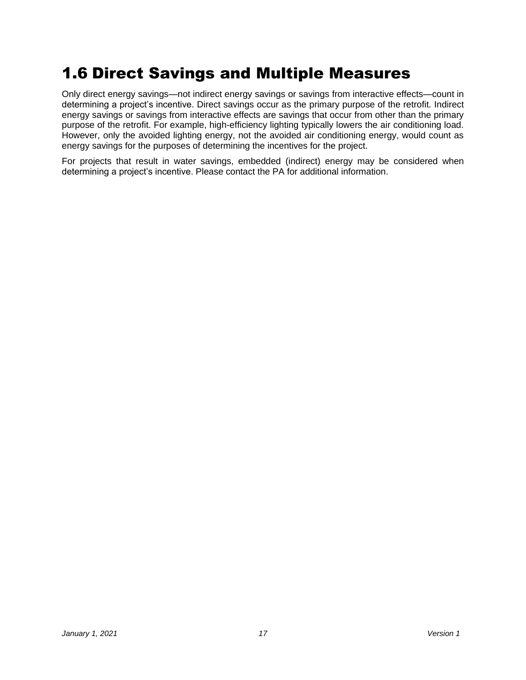# <span id="page-17-0"></span>1.6 Direct Savings and Multiple Measures

Only direct energy savings—not indirect energy savings or savings from interactive effects—count in determining a project's incentive. Direct savings occur as the primary purpose of the retrofit. Indirect energy savings or savings from interactive effects are savings that occur from other than the primary purpose of the retrofit. For example, high-efficiency lighting typically lowers the air conditioning load. However, only the avoided lighting energy, not the avoided air conditioning energy, would count as energy savings for the purposes of determining the incentives for the project.

For projects that result in water savings, embedded (indirect) energy may be considered when determining a project's incentive. Please contact the PA for additional information.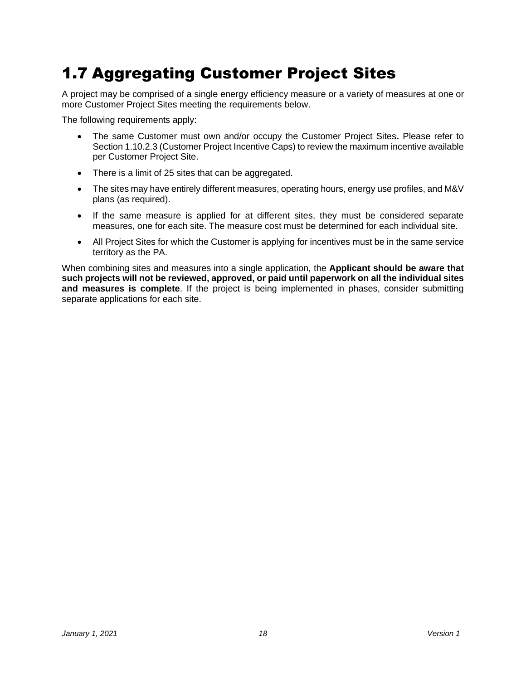# <span id="page-18-0"></span>1.7 Aggregating Customer Project Sites

A project may be comprised of a single energy efficiency measure or a variety of measures at one or more Customer Project Sites meeting the requirements below.

The following requirements apply:

- The same Customer must own and/or occupy the Customer Project Sites**.** Please refer to Sectio[n 1.10.2.3](#page-24-0) (Customer Project Incentive Caps) to review the maximum incentive available per Customer Project Site.
- There is a limit of 25 sites that can be aggregated.
- The sites may have entirely different measures, operating hours, energy use profiles, and M&V plans (as required).
- If the same measure is applied for at different sites, they must be considered separate measures, one for each site. The measure cost must be determined for each individual site.
- All Project Sites for which the Customer is applying for incentives must be in the same service territory as the PA.

When combining sites and measures into a single application, the **Applicant should be aware that such projects will not be reviewed, approved, or paid until paperwork on all the individual sites and measures is complete**. If the project is being implemented in phases, consider submitting separate applications for each site.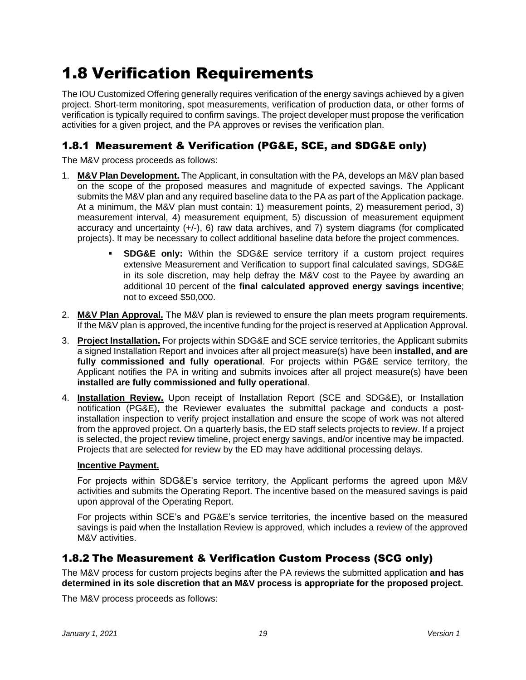# <span id="page-19-0"></span>1.8 Verification Requirements

The IOU Customized Offering generally requires verification of the energy savings achieved by a given project. Short-term monitoring, spot measurements, verification of production data, or other forms of verification is typically required to confirm savings. The project developer must propose the verification activities for a given project, and the PA approves or revises the verification plan.

# 1.8.1 Measurement & Verification (PG&E, SCE, and SDG&E only)

The M&V process proceeds as follows:

- 1. **M&V Plan Development.** The Applicant, in consultation with the PA, develops an M&V plan based on the scope of the proposed measures and magnitude of expected savings. The Applicant submits the M&V plan and any required baseline data to the PA as part of the Application package. At a minimum, the M&V plan must contain: 1) measurement points, 2) measurement period, 3) measurement interval, 4) measurement equipment, 5) discussion of measurement equipment accuracy and uncertainty  $(+/-)$ , 6) raw data archives, and 7) system diagrams (for complicated projects). It may be necessary to collect additional baseline data before the project commences.
	- **SDG&E only:** Within the SDG&E service territory if a custom project requires extensive Measurement and Verification to support final calculated savings, SDG&E in its sole discretion, may help defray the M&V cost to the Payee by awarding an additional 10 percent of the **final calculated approved energy savings incentive**; not to exceed \$50,000.
- 2. **M&V Plan Approval.** The M&V plan is reviewed to ensure the plan meets program requirements. If the M&V plan is approved, the incentive funding for the project is reserved at Application Approval.
- 3. **Project Installation.** For projects within SDG&E and SCE service territories, the Applicant submits a signed Installation Report and invoices after all project measure(s) have been **installed, and are fully commissioned and fully operational**. For projects within PG&E service territory, the Applicant notifies the PA in writing and submits invoices after all project measure(s) have been **installed are fully commissioned and fully operational**.
- 4. **Installation Review.** Upon receipt of Installation Report (SCE and SDG&E), or Installation notification (PG&E), the Reviewer evaluates the submittal package and conducts a postinstallation inspection to verify project installation and ensure the scope of work was not altered from the approved project. On a quarterly basis, the ED staff selects projects to review. If a project is selected, the project review timeline, project energy savings, and/or incentive may be impacted. Projects that are selected for review by the ED may have additional processing delays.

#### **Incentive Payment.**

For projects within SDG&E's service territory, the Applicant performs the agreed upon M&V activities and submits the Operating Report. The incentive based on the measured savings is paid upon approval of the Operating Report.

For projects within SCE's and PG&E's service territories, the incentive based on the measured savings is paid when the Installation Review is approved, which includes a review of the approved M&V activities.

### 1.8.2 The Measurement & Verification Custom Process (SCG only)

The M&V process for custom projects begins after the PA reviews the submitted application **and has determined in its sole discretion that an M&V process is appropriate for the proposed project.**

The M&V process proceeds as follows: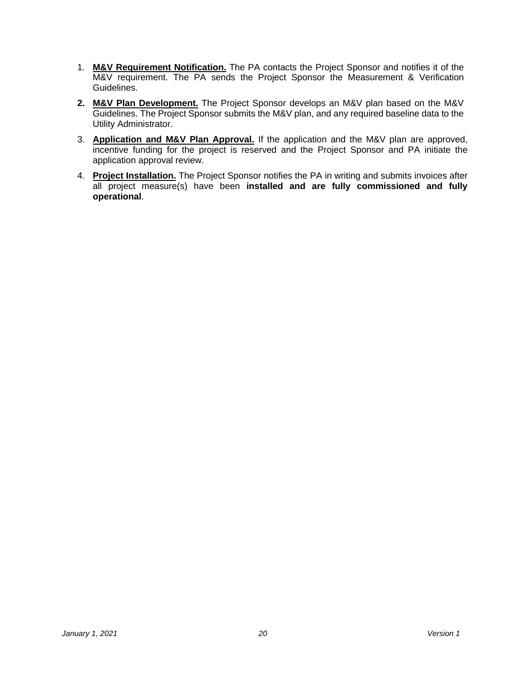- 1. **M&V Requirement Notification.** The PA contacts the Project Sponsor and notifies it of the M&V requirement. The PA sends the Project Sponsor the Measurement & Verification Guidelines.
- **2. M&V Plan Development.** The Project Sponsor develops an M&V plan based on the M&V Guidelines. The Project Sponsor submits the M&V plan, and any required baseline data to the Utility Administrator.
- 3. **Application and M&V Plan Approval.** If the application and the M&V plan are approved, incentive funding for the project is reserved and the Project Sponsor and PA initiate the application approval review.
- 4. **Project Installation.** The Project Sponsor notifies the PA in writing and submits invoices after all project measure(s) have been **installed and are fully commissioned and fully operational**.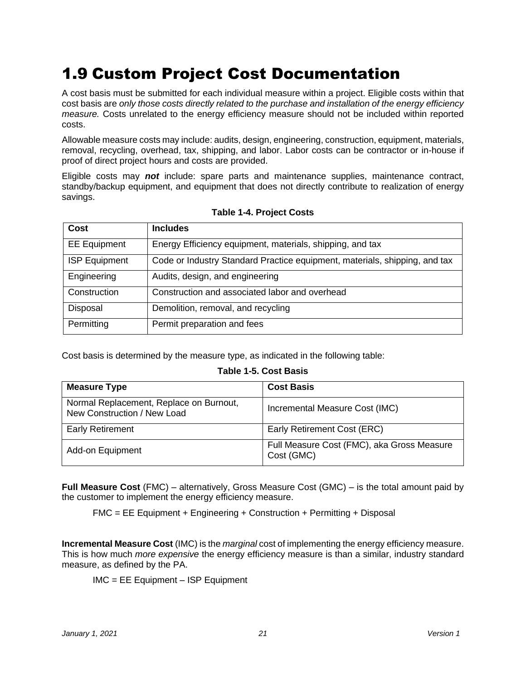# <span id="page-21-0"></span>1.9 Custom Project Cost Documentation

A cost basis must be submitted for each individual measure within a project. Eligible costs within that cost basis are *only those costs directly related to the purchase and installation of the energy efficiency measure.* Costs unrelated to the energy efficiency measure should not be included within reported costs.

Allowable measure costs may include: audits, design, engineering, construction, equipment, materials, removal, recycling, overhead, tax, shipping, and labor. Labor costs can be contractor or in-house if proof of direct project hours and costs are provided.

Eligible costs may *not* include: spare parts and maintenance supplies, maintenance contract, standby/backup equipment, and equipment that does not directly contribute to realization of energy savings.

| Cost                 | <b>Includes</b>                                                            |
|----------------------|----------------------------------------------------------------------------|
| <b>EE</b> Equipment  | Energy Efficiency equipment, materials, shipping, and tax                  |
| <b>ISP Equipment</b> | Code or Industry Standard Practice equipment, materials, shipping, and tax |
| Engineering          | Audits, design, and engineering                                            |
| Construction         | Construction and associated labor and overhead                             |
| Disposal             | Demolition, removal, and recycling                                         |
| Permitting           | Permit preparation and fees                                                |

#### **Table 1-4. Project Costs**

Cost basis is determined by the measure type, as indicated in the following table:

#### **Table 1-5. Cost Basis**

| <b>Measure Type</b>                                                    | <b>Cost Basis</b>                                        |
|------------------------------------------------------------------------|----------------------------------------------------------|
| Normal Replacement, Replace on Burnout,<br>New Construction / New Load | Incremental Measure Cost (IMC)                           |
| <b>Early Retirement</b>                                                | Early Retirement Cost (ERC)                              |
| Add-on Equipment                                                       | Full Measure Cost (FMC), aka Gross Measure<br>Cost (GMC) |

**Full Measure Cost** (FMC) – alternatively, Gross Measure Cost (GMC) – is the total amount paid by the customer to implement the energy efficiency measure.

FMC = EE Equipment + Engineering + Construction + Permitting + Disposal

**Incremental Measure Cost** (IMC) is the *marginal* cost of implementing the energy efficiency measure. This is how much *more expensive* the energy efficiency measure is than a similar, industry standard measure, as defined by the PA.

IMC = EE Equipment – ISP Equipment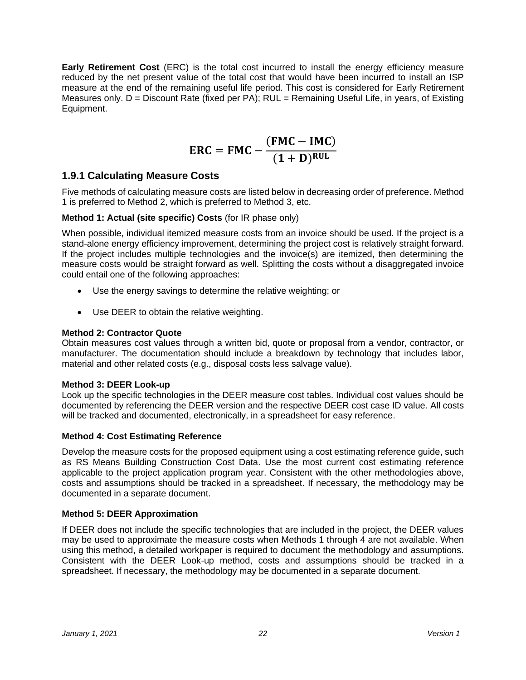**Early Retirement Cost** (ERC) is the total cost incurred to install the energy efficiency measure reduced by the net present value of the total cost that would have been incurred to install an ISP measure at the end of the remaining useful life period. This cost is considered for Early Retirement Measures only.  $D =$  Discount Rate (fixed per PA); RUL = Remaining Useful Life, in years, of Existing Equipment.

$$
ERC = FMC - \frac{(FMC - IMC)}{(1+D)^{RUL}}
$$

### **1.9.1 Calculating Measure Costs**

Five methods of calculating measure costs are listed below in decreasing order of preference. Method 1 is preferred to Method 2, which is preferred to Method 3, etc.

#### **Method 1: Actual (site specific) Costs** (for IR phase only)

When possible, individual itemized measure costs from an invoice should be used. If the project is a stand-alone energy efficiency improvement, determining the project cost is relatively straight forward. If the project includes multiple technologies and the invoice(s) are itemized, then determining the measure costs would be straight forward as well. Splitting the costs without a disaggregated invoice could entail one of the following approaches:

- Use the energy savings to determine the relative weighting; or
- Use DEER to obtain the relative weighting.

#### **Method 2: Contractor Quote**

Obtain measures cost values through a written bid, quote or proposal from a vendor, contractor, or manufacturer. The documentation should include a breakdown by technology that includes labor, material and other related costs (e.g., disposal costs less salvage value).

#### **Method 3: DEER Look-up**

Look up the specific technologies in the DEER measure cost tables. Individual cost values should be documented by referencing the DEER version and the respective DEER cost case ID value. All costs will be tracked and documented, electronically, in a spreadsheet for easy reference.

#### **Method 4: Cost Estimating Reference**

Develop the measure costs for the proposed equipment using a cost estimating reference guide, such as RS Means Building Construction Cost Data. Use the most current cost estimating reference applicable to the project application program year. Consistent with the other methodologies above, costs and assumptions should be tracked in a spreadsheet. If necessary, the methodology may be documented in a separate document.

#### **Method 5: DEER Approximation**

If DEER does not include the specific technologies that are included in the project, the DEER values may be used to approximate the measure costs when Methods 1 through 4 are not available. When using this method, a detailed workpaper is required to document the methodology and assumptions. Consistent with the DEER Look-up method, costs and assumptions should be tracked in a spreadsheet. If necessary, the methodology may be documented in a separate document.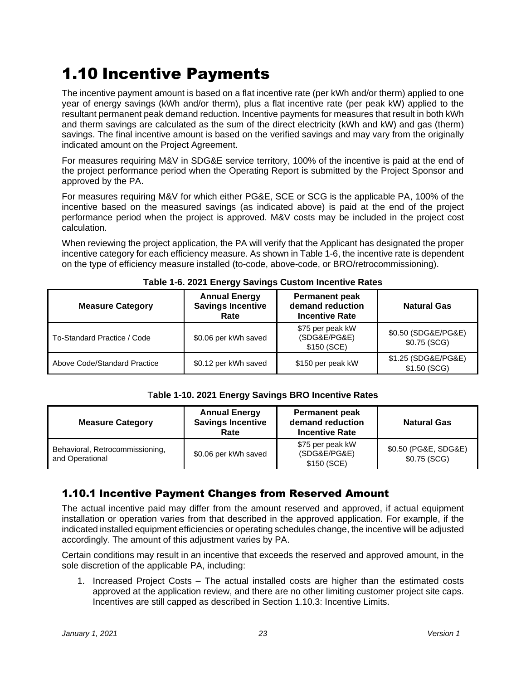# <span id="page-23-0"></span>1.10 Incentive Payments

The incentive payment amount is based on a flat incentive rate (per kWh and/or therm) applied to one year of energy savings (kWh and/or therm), plus a flat incentive rate (per peak kW) applied to the resultant permanent peak demand reduction. Incentive payments for measures that result in both kWh and therm savings are calculated as the sum of the direct electricity (kWh and kW) and gas (therm) savings. The final incentive amount is based on the verified savings and may vary from the originally indicated amount on the Project Agreement.

For measures requiring M&V in SDG&E service territory, 100% of the incentive is paid at the end of the project performance period when the Operating Report is submitted by the Project Sponsor and approved by the PA.

For measures requiring M&V for which either PG&E, SCE or SCG is the applicable PA, 100% of the incentive based on the measured savings (as indicated above) is paid at the end of the project performance period when the project is approved. M&V costs may be included in the project cost calculation.

When reviewing the project application, the PA will verify that the Applicant has designated the proper incentive category for each efficiency measure. As shown in Table 1-6, the incentive rate is dependent on the type of efficiency measure installed (to-code, above-code, or BRO/retrocommissioning).

| <b>Measure Category</b>      | <b>Annual Energy</b><br><b>Savings Incentive</b><br>Rate | <b>Permanent peak</b><br>demand reduction<br><b>Incentive Rate</b> | <b>Natural Gas</b>                   |
|------------------------------|----------------------------------------------------------|--------------------------------------------------------------------|--------------------------------------|
| To-Standard Practice / Code  | \$0.06 per kWh saved                                     | \$75 per peak kW<br>(SDG&E/PG&E)<br>\$150 (SCE)                    | \$0.50 (SDG&E/PG&E)<br>$$0.75$ (SCG) |
| Above Code/Standard Practice | \$0.12 per kWh saved                                     | \$150 per peak kW                                                  | \$1.25 (SDG&E/PG&E)<br>\$1.50(SCG)   |

#### **Table 1-6. 2021 Energy Savings Custom Incentive Rates**

#### T**able 1-10. 2021 Energy Savings BRO Incentive Rates**

| <b>Measure Category</b>                            | <b>Annual Energy</b><br><b>Savings Incentive</b><br>Rate | <b>Permanent peak</b><br>demand reduction<br><b>Incentive Rate</b> | <b>Natural Gas</b>                   |
|----------------------------------------------------|----------------------------------------------------------|--------------------------------------------------------------------|--------------------------------------|
| Behavioral, Retrocommissioning,<br>and Operational | \$0.06 per kWh saved                                     | \$75 per peak kW<br>(SDG&E/PG&E)<br>\$150 (SCE)                    | \$0.50 (PG&E, SDG&E)<br>\$0.75 (SCG) |

# 1.10.1 Incentive Payment Changes from Reserved Amount

The actual incentive paid may differ from the amount reserved and approved, if actual equipment installation or operation varies from that described in the approved application. For example, if the indicated installed equipment efficiencies or operating schedules change, the incentive will be adjusted accordingly. The amount of this adjustment varies by PA.

Certain conditions may result in an incentive that exceeds the reserved and approved amount, in the sole discretion of the applicable PA, including:

1. Increased Project Costs – The actual installed costs are higher than the estimated costs approved at the application review, and there are no other limiting customer project site caps. Incentives are still capped as described in Section 1.10.3: Incentive Limits.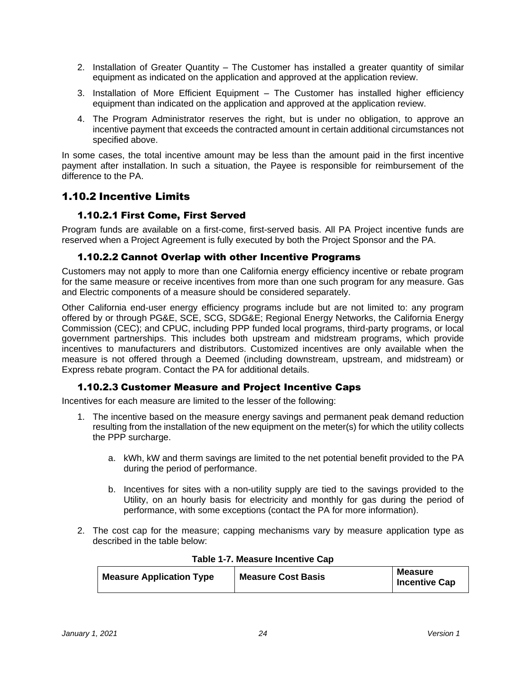- 2. Installation of Greater Quantity The Customer has installed a greater quantity of similar equipment as indicated on the application and approved at the application review.
- 3. Installation of More Efficient Equipment The Customer has installed higher efficiency equipment than indicated on the application and approved at the application review.
- 4. The Program Administrator reserves the right, but is under no obligation, to approve an incentive payment that exceeds the contracted amount in certain additional circumstances not specified above.

In some cases, the total incentive amount may be less than the amount paid in the first incentive payment after installation. In such a situation, the Payee is responsible for reimbursement of the difference to the PA.

### 1.10.2 Incentive Limits

#### 1.10.2.1 First Come, First Served

Program funds are available on a first-come, first-served basis. All PA Project incentive funds are reserved when a Project Agreement is fully executed by both the Project Sponsor and the PA.

#### 1.10.2.2 Cannot Overlap with other Incentive Programs

Customers may not apply to more than one California energy efficiency incentive or rebate program for the same measure or receive incentives from more than one such program for any measure. Gas and Electric components of a measure should be considered separately.

Other California end-user energy efficiency programs include but are not limited to: any program offered by or through PG&E, SCE, SCG, SDG&E; Regional Energy Networks, the California Energy Commission (CEC); and CPUC, including PPP funded local programs, third-party programs, or local government partnerships. This includes both upstream and midstream programs, which provide incentives to manufacturers and distributors. Customized incentives are only available when the measure is not offered through a Deemed (including downstream, upstream, and midstream) or Express rebate program. Contact the PA for additional details.

#### 1.10.2.3 Customer Measure and Project Incentive Caps

<span id="page-24-0"></span>Incentives for each measure are limited to the lesser of the following:

- 1. The incentive based on the measure energy savings and permanent peak demand reduction resulting from the installation of the new equipment on the meter(s) for which the utility collects the PPP surcharge.
	- a. kWh, kW and therm savings are limited to the net potential benefit provided to the PA during the period of performance.
	- b. Incentives for sites with a non-utility supply are tied to the savings provided to the Utility, on an hourly basis for electricity and monthly for gas during the period of performance, with some exceptions (contact the PA for more information).
- 2. The cost cap for the measure; capping mechanisms vary by measure application type as described in the table below:

| <b>Measure Application Type</b> | <b>Measure Cost Basis</b> | <b>Measure</b><br><b>Incentive Cap</b> |
|---------------------------------|---------------------------|----------------------------------------|

#### **Table 1-7. Measure Incentive Cap**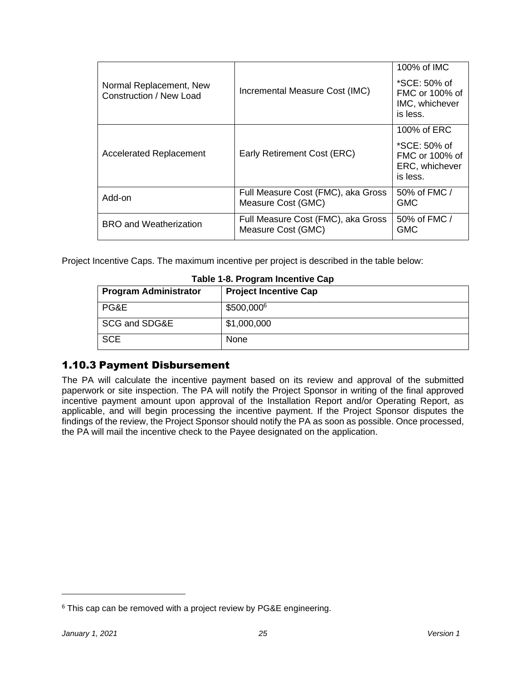| Normal Replacement, New<br>Construction / New Load | Incremental Measure Cost (IMC)                           | 100% of IMC<br>*SCE: 50% of<br>FMC or 100% of<br>IMC, whichever<br>is less. |
|----------------------------------------------------|----------------------------------------------------------|-----------------------------------------------------------------------------|
| <b>Accelerated Replacement</b>                     | Early Retirement Cost (ERC)                              | 100% of ERC<br>*SCE: 50% of<br>FMC or 100% of<br>ERC, whichever<br>is less. |
| Add-on                                             | Full Measure Cost (FMC), aka Gross<br>Measure Cost (GMC) | 50% of FMC /<br><b>GMC</b>                                                  |
| <b>BRO</b> and Weatherization                      | Full Measure Cost (FMC), aka Gross<br>Measure Cost (GMC) | 50% of FMC /<br><b>GMC</b>                                                  |

Project Incentive Caps. The maximum incentive per project is described in the table below:

| <b>Program Administrator</b> | <b>Project Incentive Cap</b> |
|------------------------------|------------------------------|
| PG&E                         | \$500,0006                   |
| SCG and SDG&E                | \$1,000,000                  |
| <b>SCE</b>                   | <b>None</b>                  |

#### **Table 1-8. Program Incentive Cap**

### 1.10.3 Payment Disbursement

The PA will calculate the incentive payment based on its review and approval of the submitted paperwork or site inspection. The PA will notify the Project Sponsor in writing of the final approved incentive payment amount upon approval of the Installation Report and/or Operating Report, as applicable, and will begin processing the incentive payment. If the Project Sponsor disputes the findings of the review, the Project Sponsor should notify the PA as soon as possible. Once processed, the PA will mail the incentive check to the Payee designated on the application.

<sup>&</sup>lt;sup>6</sup> This cap can be removed with a project review by PG&E engineering.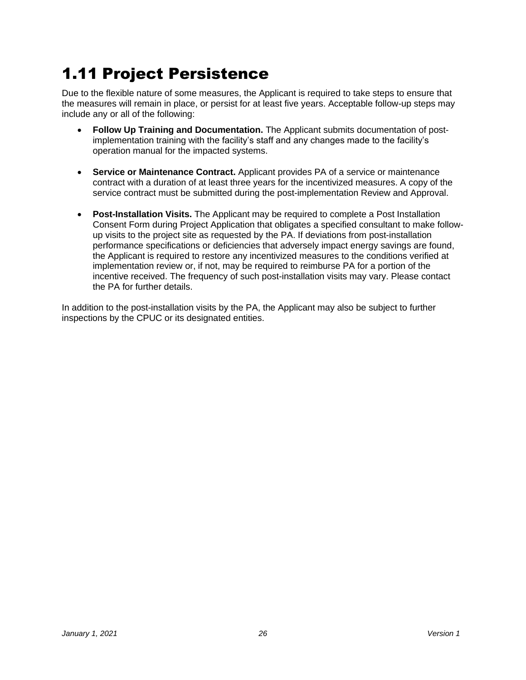# <span id="page-26-0"></span>1.11 Project Persistence

Due to the flexible nature of some measures, the Applicant is required to take steps to ensure that the measures will remain in place, or persist for at least five years. Acceptable follow-up steps may include any or all of the following:

- **Follow Up Training and Documentation.** The Applicant submits documentation of postimplementation training with the facility's staff and any changes made to the facility's operation manual for the impacted systems.
- **Service or Maintenance Contract.** Applicant provides PA of a service or maintenance contract with a duration of at least three years for the incentivized measures. A copy of the service contract must be submitted during the post-implementation Review and Approval.
- **Post-Installation Visits.** The Applicant may be required to complete a Post Installation Consent Form during Project Application that obligates a specified consultant to make followup visits to the project site as requested by the PA. If deviations from post-installation performance specifications or deficiencies that adversely impact energy savings are found, the Applicant is required to restore any incentivized measures to the conditions verified at implementation review or, if not, may be required to reimburse PA for a portion of the incentive received. The frequency of such post-installation visits may vary. Please contact the PA for further details.

In addition to the post-installation visits by the PA, the Applicant may also be subject to further inspections by the CPUC or its designated entities.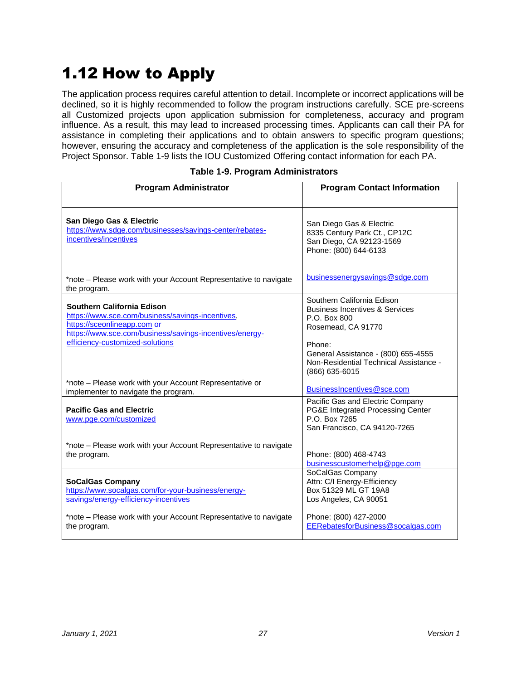# <span id="page-27-0"></span>1.12 How to Apply

The application process requires careful attention to detail. Incomplete or incorrect applications will be declined, so it is highly recommended to follow the program instructions carefully. SCE pre-screens all Customized projects upon application submission for completeness, accuracy and program influence. As a result, this may lead to increased processing times. Applicants can call their PA for assistance in completing their applications and to obtain answers to specific program questions; however, ensuring the accuracy and completeness of the application is the sole responsibility of the Project Sponsor. Table 1-9 lists the IOU Customized Offering contact information for each PA.

#### **Table 1-9. Program Administrators**

| <b>Program Administrator</b>                                                                                                                                                                                | <b>Program Contact Information</b>                                                                                                                                                                                         |
|-------------------------------------------------------------------------------------------------------------------------------------------------------------------------------------------------------------|----------------------------------------------------------------------------------------------------------------------------------------------------------------------------------------------------------------------------|
| San Diego Gas & Electric<br>https://www.sdge.com/businesses/savings-center/rebates-<br>incentives/incentives                                                                                                | San Diego Gas & Electric<br>8335 Century Park Ct., CP12C<br>San Diego, CA 92123-1569<br>Phone: (800) 644-6133                                                                                                              |
| *note – Please work with your Account Representative to navigate<br>the program.                                                                                                                            | businessenergy savings@sdge.com                                                                                                                                                                                            |
| Southern California Edison<br>https://www.sce.com/business/savings-incentives,<br>https://sceonlineapp.com or<br>https://www.sce.com/business/savings-incentives/energy-<br>efficiency-customized-solutions | Southern California Edison<br><b>Business Incentives &amp; Services</b><br>P.O. Box 800<br>Rosemead, CA 91770<br>Phone:<br>General Assistance - (800) 655-4555<br>Non-Residential Technical Assistance -<br>(866) 635-6015 |
| *note - Please work with your Account Representative or<br>implementer to navigate the program.                                                                                                             | BusinessIncentives@sce.com                                                                                                                                                                                                 |
| <b>Pacific Gas and Electric</b><br>www.pae.com/customized                                                                                                                                                   | Pacific Gas and Electric Company<br>PG&E Integrated Processing Center<br>P.O. Box 7265<br>San Francisco, CA 94120-7265                                                                                                     |
| *note - Please work with your Account Representative to navigate<br>the program.                                                                                                                            | Phone: (800) 468-4743<br>businesscustomerhelp@pge.com                                                                                                                                                                      |
| <b>SoCalGas Company</b><br>https://www.socalgas.com/for-your-business/energy-<br>savings/energy-efficiency-incentives                                                                                       | SoCalGas Company<br>Attn: C/I Energy-Efficiency<br>Box 51329 ML GT 19A8<br>Los Angeles, CA 90051                                                                                                                           |
| *note - Please work with your Account Representative to navigate<br>the program.                                                                                                                            | Phone: (800) 427-2000<br>EERebatesforBusiness@socalgas.com                                                                                                                                                                 |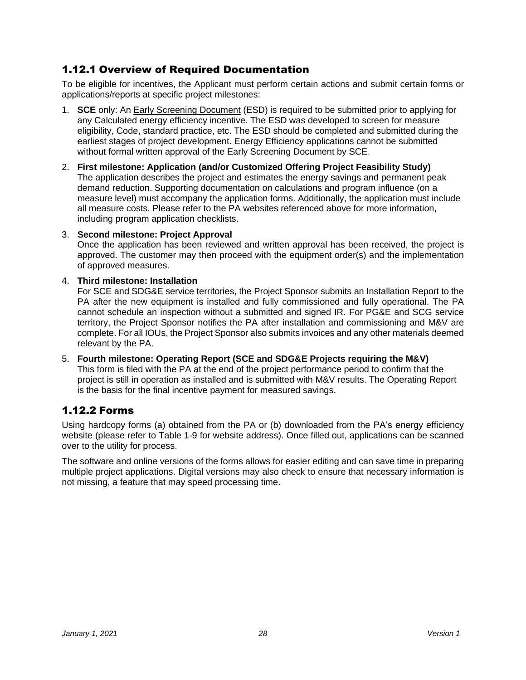# 1.12.1 Overview of Required Documentation

To be eligible for incentives, the Applicant must perform certain actions and submit certain forms or applications/reports at specific project milestones:

- 1. **SCE** only: An [Early Screening Document](https://sceonlineapp.com/CustomizedSolutions.aspx) (ESD) is required to be submitted prior to applying for any Calculated energy efficiency incentive. The ESD was developed to screen for measure eligibility, Code, standard practice, etc. The ESD should be completed and submitted during the earliest stages of project development. Energy Efficiency applications cannot be submitted without formal written approval of the Early Screening Document by SCE.
- 2. **First milestone: Application (and/or Customized Offering Project Feasibility Study)** The application describes the project and estimates the energy savings and permanent peak demand reduction. Supporting documentation on calculations and program influence (on a measure level) must accompany the application forms. Additionally, the application must include all measure costs. Please refer to the PA websites referenced above for more information, including program application checklists.

#### 3. **Second milestone: Project Approval**

Once the application has been reviewed and written approval has been received, the project is approved. The customer may then proceed with the equipment order(s) and the implementation of approved measures.

#### 4. **Third milestone: Installation**

For SCE and SDG&E service territories, the Project Sponsor submits an Installation Report to the PA after the new equipment is installed and fully commissioned and fully operational. The PA cannot schedule an inspection without a submitted and signed IR. For PG&E and SCG service territory, the Project Sponsor notifies the PA after installation and commissioning and M&V are complete. For all IOUs, the Project Sponsor also submits invoices and any other materials deemed relevant by the PA.

5. **Fourth milestone: Operating Report (SCE and SDG&E Projects requiring the M&V)** This form is filed with the PA at the end of the project performance period to confirm that the project is still in operation as installed and is submitted with M&V results. The Operating Report is the basis for the final incentive payment for measured savings.

### 1.12.2 Forms

Using hardcopy forms (a) obtained from the PA or (b) downloaded from the PA's energy efficiency website (please refer to Table 1-9 for website address). Once filled out, applications can be scanned over to the utility for process.

The software and online versions of the forms allows for easier editing and can save time in preparing multiple project applications. Digital versions may also check to ensure that necessary information is not missing, a feature that may speed processing time.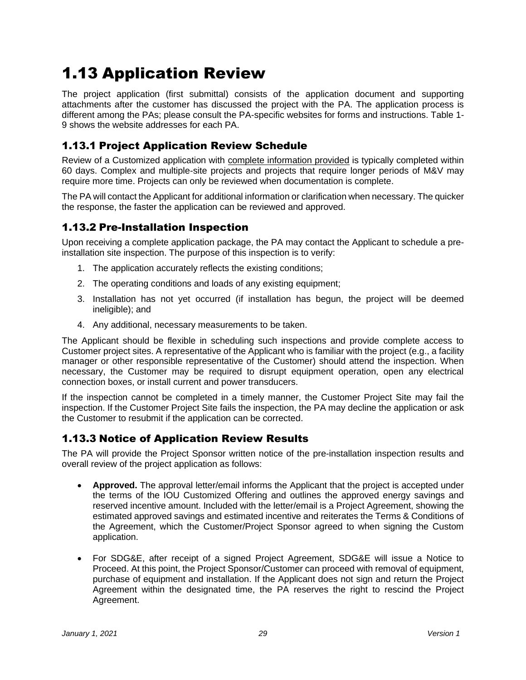# <span id="page-29-0"></span>1.13 Application Review

The project application (first submittal) consists of the application document and supporting attachments after the customer has discussed the project with the PA. The application process is different among the PAs; please consult the PA-specific websites for forms and instructions. Table 1- 9 shows the website addresses for each PA.

# 1.13.1 Project Application Review Schedule

Review of a Customized application with complete information provided is typically completed within 60 days. Complex and multiple-site projects and projects that require longer periods of M&V may require more time. Projects can only be reviewed when documentation is complete.

The PA will contact the Applicant for additional information or clarification when necessary. The quicker the response, the faster the application can be reviewed and approved.

### 1.13.2 Pre-Installation Inspection

Upon receiving a complete application package, the PA may contact the Applicant to schedule a preinstallation site inspection. The purpose of this inspection is to verify:

- 1. The application accurately reflects the existing conditions;
- 2. The operating conditions and loads of any existing equipment;
- 3. Installation has not yet occurred (if installation has begun, the project will be deemed ineligible); and
- 4. Any additional, necessary measurements to be taken.

The Applicant should be flexible in scheduling such inspections and provide complete access to Customer project sites. A representative of the Applicant who is familiar with the project (e.g., a facility manager or other responsible representative of the Customer) should attend the inspection. When necessary, the Customer may be required to disrupt equipment operation, open any electrical connection boxes, or install current and power transducers.

If the inspection cannot be completed in a timely manner, the Customer Project Site may fail the inspection. If the Customer Project Site fails the inspection, the PA may decline the application or ask the Customer to resubmit if the application can be corrected.

# 1.13.3 Notice of Application Review Results

The PA will provide the Project Sponsor written notice of the pre-installation inspection results and overall review of the project application as follows:

- **Approved.** The approval letter/email informs the Applicant that the project is accepted under the terms of the IOU Customized Offering and outlines the approved energy savings and reserved incentive amount. Included with the letter/email is a Project Agreement, showing the estimated approved savings and estimated incentive and reiterates the Terms & Conditions of the Agreement, which the Customer/Project Sponsor agreed to when signing the Custom application.
- For SDG&E, after receipt of a signed Project Agreement, SDG&E will issue a Notice to Proceed. At this point, the Project Sponsor/Customer can proceed with removal of equipment, purchase of equipment and installation. If the Applicant does not sign and return the Project Agreement within the designated time, the PA reserves the right to rescind the Project Agreement.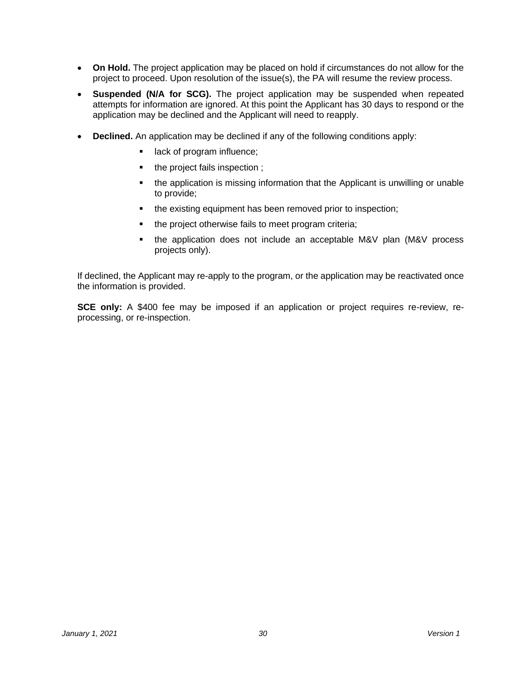- **On Hold.** The project application may be placed on hold if circumstances do not allow for the project to proceed. Upon resolution of the issue(s), the PA will resume the review process.
- **Suspended (N/A for SCG).** The project application may be suspended when repeated attempts for information are ignored. At this point the Applicant has 30 days to respond or the application may be declined and the Applicant will need to reapply.
- **Declined.** An application may be declined if any of the following conditions apply:
	- lack of program influence;
	- the project fails inspection ;
	- the application is missing information that the Applicant is unwilling or unable to provide;
	- the existing equipment has been removed prior to inspection;
	- the project otherwise fails to meet program criteria;
	- the application does not include an acceptable M&V plan (M&V process projects only).

If declined, the Applicant may re-apply to the program, or the application may be reactivated once the information is provided.

**SCE only:** A \$400 fee may be imposed if an application or project requires re-review, reprocessing, or re-inspection.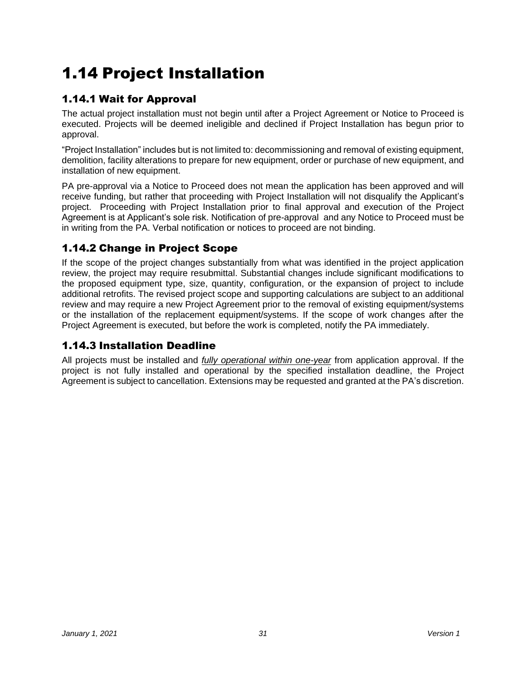# <span id="page-31-0"></span>1.14 Project Installation

# 1.14.1 Wait for Approval

The actual project installation must not begin until after a Project Agreement or Notice to Proceed is executed. Projects will be deemed ineligible and declined if Project Installation has begun prior to approval.

"Project Installation" includes but is not limited to: decommissioning and removal of existing equipment, demolition, facility alterations to prepare for new equipment, order or purchase of new equipment, and installation of new equipment.

PA pre-approval via a Notice to Proceed does not mean the application has been approved and will receive funding, but rather that proceeding with Project Installation will not disqualify the Applicant's project. Proceeding with Project Installation prior to final approval and execution of the Project Agreement is at Applicant's sole risk. Notification of pre-approval and any Notice to Proceed must be in writing from the PA. Verbal notification or notices to proceed are not binding.

# 1.14.2 Change in Project Scope

If the scope of the project changes substantially from what was identified in the project application review, the project may require resubmittal. Substantial changes include significant modifications to the proposed equipment type, size, quantity, configuration, or the expansion of project to include additional retrofits. The revised project scope and supporting calculations are subject to an additional review and may require a new Project Agreement prior to the removal of existing equipment/systems or the installation of the replacement equipment/systems. If the scope of work changes after the Project Agreement is executed, but before the work is completed, notify the PA immediately.

# 1.14.3 Installation Deadline

All projects must be installed and *fully operational within one-year* from application approval. If the project is not fully installed and operational by the specified installation deadline, the Project Agreement is subject to cancellation. Extensions may be requested and granted at the PA's discretion.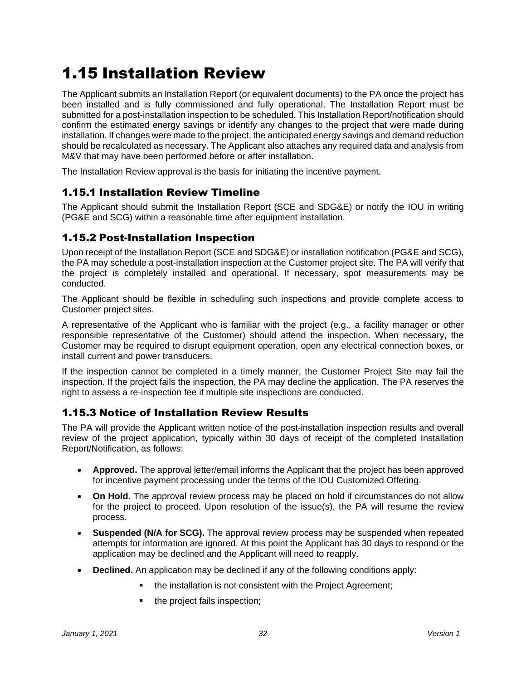# <span id="page-32-0"></span>1.15 Installation Review

The Applicant submits an Installation Report (or equivalent documents) to the PA once the project has been installed and is fully commissioned and fully operational. The Installation Report must be submitted for a post-installation inspection to be scheduled. This Installation Report/notification should confirm the estimated energy savings or identify any changes to the project that were made during installation. If changes were made to the project, the anticipated energy savings and demand reduction should be recalculated as necessary. The Applicant also attaches any required data and analysis from M&V that may have been performed before or after installation.

The Installation Review approval is the basis for initiating the incentive payment.

### 1.15.1 Installation Review Timeline

The Applicant should submit the Installation Report (SCE and SDG&E) or notify the IOU in writing (PG&E and SCG) within a reasonable time after equipment installation.

### 1.15.2 Post-Installation Inspection

Upon receipt of the Installation Report (SCE and SDG&E) or installation notification (PG&E and SCG), the PA may schedule a post-installation inspection at the Customer project site. The PA will verify that the project is completely installed and operational. If necessary, spot measurements may be conducted.

The Applicant should be flexible in scheduling such inspections and provide complete access to Customer project sites.

A representative of the Applicant who is familiar with the project (e.g., a facility manager or other responsible representative of the Customer) should attend the inspection. When necessary, the Customer may be required to disrupt equipment operation, open any electrical connection boxes, or install current and power transducers.

If the inspection cannot be completed in a timely manner, the Customer Project Site may fail the inspection. If the project fails the inspection, the PA may decline the application. The PA reserves the right to assess a re-inspection fee if multiple site inspections are conducted.

# 1.15.3 Notice of Installation Review Results

The PA will provide the Applicant written notice of the post-installation inspection results and overall review of the project application, typically within 30 days of receipt of the completed Installation Report/Notification, as follows:

- **Approved.** The approval letter/email informs the Applicant that the project has been approved for incentive payment processing under the terms of the IOU Customized Offering.
- **On Hold.** The approval review process may be placed on hold if circumstances do not allow for the project to proceed. Upon resolution of the issue(s), the PA will resume the review process.
- **Suspended (N/A for SCG).** The approval review process may be suspended when repeated attempts for information are ignored. At this point the Applicant has 30 days to respond or the application may be declined and the Applicant will need to reapply.
- **Declined.** An application may be declined if any of the following conditions apply:
	- the installation is not consistent with the Project Agreement;
	- the project fails inspection: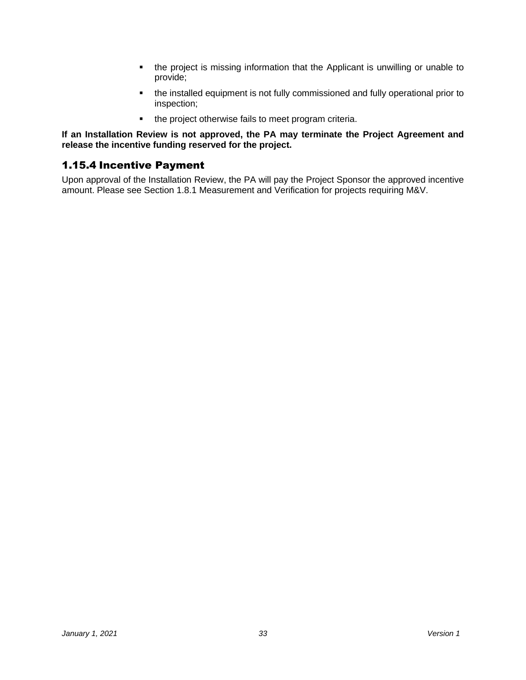- the project is missing information that the Applicant is unwilling or unable to provide;
- the installed equipment is not fully commissioned and fully operational prior to inspection;
- the project otherwise fails to meet program criteria.

**If an Installation Review is not approved, the PA may terminate the Project Agreement and release the incentive funding reserved for the project.** 

### 1.15.4 Incentive Payment

Upon approval of the Installation Review, the PA will pay the Project Sponsor the approved incentive amount. Please see Section 1.8.1 Measurement and Verification for projects requiring M&V.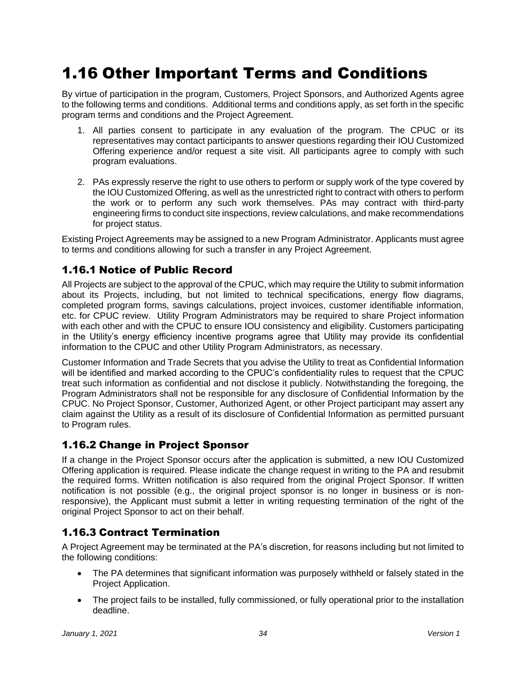# <span id="page-34-0"></span>1.16 Other Important Terms and Conditions

By virtue of participation in the program, Customers, Project Sponsors, and Authorized Agents agree to the following terms and conditions. Additional terms and conditions apply, as set forth in the specific program terms and conditions and the Project Agreement.

- 1. All parties consent to participate in any evaluation of the program. The CPUC or its representatives may contact participants to answer questions regarding their IOU Customized Offering experience and/or request a site visit. All participants agree to comply with such program evaluations.
- 2. PAs expressly reserve the right to use others to perform or supply work of the type covered by the IOU Customized Offering, as well as the unrestricted right to contract with others to perform the work or to perform any such work themselves. PAs may contract with third-party engineering firms to conduct site inspections, review calculations, and make recommendations for project status.

Existing Project Agreements may be assigned to a new Program Administrator. Applicants must agree to terms and conditions allowing for such a transfer in any Project Agreement.

### 1.16.1 Notice of Public Record

All Projects are subject to the approval of the CPUC, which may require the Utility to submit information about its Projects, including, but not limited to technical specifications, energy flow diagrams, completed program forms, savings calculations, project invoices, customer identifiable information, etc. for CPUC review. Utility Program Administrators may be required to share Project information with each other and with the CPUC to ensure IOU consistency and eligibility. Customers participating in the Utility's energy efficiency incentive programs agree that Utility may provide its confidential information to the CPUC and other Utility Program Administrators, as necessary.

Customer Information and Trade Secrets that you advise the Utility to treat as Confidential Information will be identified and marked according to the CPUC's confidentiality rules to request that the CPUC treat such information as confidential and not disclose it publicly. Notwithstanding the foregoing, the Program Administrators shall not be responsible for any disclosure of Confidential Information by the CPUC. No Project Sponsor, Customer, Authorized Agent, or other Project participant may assert any claim against the Utility as a result of its disclosure of Confidential Information as permitted pursuant to Program rules.

### 1.16.2 Change in Project Sponsor

If a change in the Project Sponsor occurs after the application is submitted, a new IOU Customized Offering application is required. Please indicate the change request in writing to the PA and resubmit the required forms. Written notification is also required from the original Project Sponsor. If written notification is not possible (e.g., the original project sponsor is no longer in business or is nonresponsive), the Applicant must submit a letter in writing requesting termination of the right of the original Project Sponsor to act on their behalf.

# 1.16.3 Contract Termination

A Project Agreement may be terminated at the PA's discretion, for reasons including but not limited to the following conditions:

- The PA determines that significant information was purposely withheld or falsely stated in the Project Application.
- The project fails to be installed, fully commissioned, or fully operational prior to the installation deadline.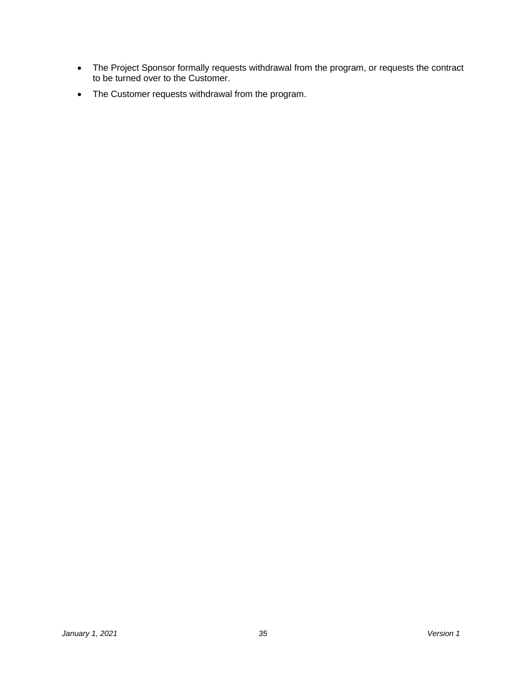- The Project Sponsor formally requests withdrawal from the program, or requests the contract to be turned over to the Customer.
- The Customer requests withdrawal from the program.